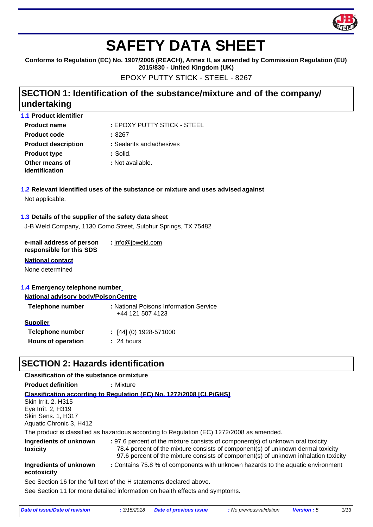

# **SAFETY DATA SHEET**

**Conforms to Regulation (EC) No. 1907/2006 (REACH), Annex II, as amended by Commission Regulation (EU)** 

**2015/830 - United Kingdom (UK)**

EPOXY PUTTY STICK - STEEL - 8267

## **SECTION 1: Identification of the substance/mixture and of the company/ undertaking**

| <b>1.1 Product identifier</b>    |                             |
|----------------------------------|-----------------------------|
| <b>Product name</b>              | : EPOXY PUTTY STICK - STEEL |
| <b>Product code</b>              | :8267                       |
| <b>Product description</b>       | : Sealants and adhesives    |
| <b>Product type</b>              | : Solid.                    |
| Other means of<br>identification | : Not available.            |
|                                  |                             |

**1.2 Relevant identified uses of the substance or mixture and uses advised against** Not applicable.

#### **1.3 Details of the supplier of the safety data sheet**

J-B Weld Company, 1130 Como Street, Sulphur Springs, TX 75482

**e-mail address of person responsible for this SDS :** [info@jbweld.com](mailto:info@jbweld.com)

#### **National contact**

None determined

#### **1.4 Emergency telephone number**

#### **National advisory body/PoisonCentre**

| Telephone number          | : National Poisons Information Service<br>+44 121 507 4123 |
|---------------------------|------------------------------------------------------------|
| <b>Supplier</b>           |                                                            |
| Telephone number          | $\colon$ [44] (0) 1928-571000                              |
| <b>Hours of operation</b> | $: 24$ hours                                               |
|                           |                                                            |

## **SECTION 2: Hazards identification**

#### **Classification of the substance ormixture**

**Product definition :** Mixture

**Classification according to Regulation (EC) No. 1272/2008 [CLP/GHS]**

Skin Irrit. 2, H315 Eye Irrit. 2, H319 Skin Sens. 1, H317 Aquatic Chronic 3, H412

The product is classified as hazardous according to Regulation (EC) 1272/2008 as amended.

| Ingredients of unknown<br>toxicity                                   | : 97.6 percent of the mixture consists of component(s) of unknown oral toxicity<br>78.4 percent of the mixture consists of component(s) of unknown dermal toxicity<br>97.6 percent of the mixture consists of component(s) of unknown inhalation toxicity |  |
|----------------------------------------------------------------------|-----------------------------------------------------------------------------------------------------------------------------------------------------------------------------------------------------------------------------------------------------------|--|
| Ingredients of unknown<br>ecotoxicity                                | : Contains 75.8 % of components with unknown hazards to the aquatic environment                                                                                                                                                                           |  |
| See Section 16 for the full text of the H statements declared above. |                                                                                                                                                                                                                                                           |  |
|                                                                      | See Section 11 for more detailed information on health effects and symptoms.                                                                                                                                                                              |  |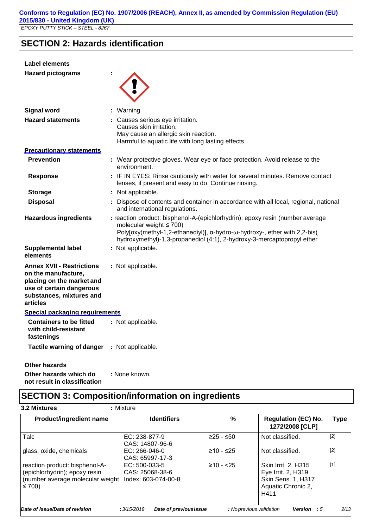**SECTION 2: Hazards identification**

| <b>Label elements</b>                                                                                                                                    |                                                                                                                                                                                                                                                                       |
|----------------------------------------------------------------------------------------------------------------------------------------------------------|-----------------------------------------------------------------------------------------------------------------------------------------------------------------------------------------------------------------------------------------------------------------------|
| <b>Hazard pictograms</b>                                                                                                                                 |                                                                                                                                                                                                                                                                       |
| <b>Signal word</b>                                                                                                                                       | : Warning                                                                                                                                                                                                                                                             |
| <b>Hazard statements</b>                                                                                                                                 | : Causes serious eye irritation.<br>Causes skin irritation.<br>May cause an allergic skin reaction.<br>Harmful to aquatic life with long lasting effects.                                                                                                             |
| <b>Precautionary statements</b>                                                                                                                          |                                                                                                                                                                                                                                                                       |
| <b>Prevention</b>                                                                                                                                        | : Wear protective gloves. Wear eye or face protection. Avoid release to the<br>environment.                                                                                                                                                                           |
| <b>Response</b>                                                                                                                                          | : IF IN EYES: Rinse cautiously with water for several minutes. Remove contact<br>lenses, if present and easy to do. Continue rinsing.                                                                                                                                 |
| <b>Storage</b>                                                                                                                                           | : Not applicable.                                                                                                                                                                                                                                                     |
| <b>Disposal</b>                                                                                                                                          | : Dispose of contents and container in accordance with all local, regional, national<br>and international regulations.                                                                                                                                                |
| <b>Hazardous ingredients</b>                                                                                                                             | : reaction product: bisphenol-A-(epichlorhydrin); epoxy resin (number average<br>molecular weight $\leq 700$ )<br>Poly[oxy(methyl-1,2-ethanediyl)], α-hydro-ω-hydroxy-, ether with 2,2-bis(<br>hydroxymethyl)-1,3-propanediol (4:1), 2-hydroxy-3-mercaptopropyl ether |
| <b>Supplemental label</b><br>elements                                                                                                                    | : Not applicable.                                                                                                                                                                                                                                                     |
| <b>Annex XVII - Restrictions</b><br>on the manufacture,<br>placing on the market and<br>use of certain dangerous<br>substances, mixtures and<br>articles | : Not applicable.                                                                                                                                                                                                                                                     |
| Special packaging requirements                                                                                                                           |                                                                                                                                                                                                                                                                       |
| <b>Containers to be fitted</b><br>with child-resistant<br>fastenings                                                                                     | : Not applicable.                                                                                                                                                                                                                                                     |
| Tactile warning of danger : Not applicable.                                                                                                              |                                                                                                                                                                                                                                                                       |
| <b>Other hazards</b>                                                                                                                                     |                                                                                                                                                                                                                                                                       |
| Other hazards which do<br>not result in classification                                                                                                   | : None known.                                                                                                                                                                                                                                                         |

## **SECTION 3: Composition/information on ingredients**

| Product/ingredient name                                                                                           | <b>Identifiers</b>                                        | %            | <b>Regulation (EC) No.</b><br>1272/2008 [CLP]                                                        | <b>Type</b> |
|-------------------------------------------------------------------------------------------------------------------|-----------------------------------------------------------|--------------|------------------------------------------------------------------------------------------------------|-------------|
| Talc                                                                                                              | EC: 238-877-9<br>CAS: 14807-96-6                          | $≥25 - ≤50$  | Not classified.                                                                                      | $[2]$       |
| glass, oxide, chemicals                                                                                           | $EC: 266-046-0$<br>CAS: 65997-17-3                        | $≥10 - ≤25$  | Not classified.                                                                                      | $[2]$       |
| reaction product: bisphenol-A-<br>(epichlorhydrin); epoxy resin<br>(number average molecular weight<br>$\leq 700$ | $EC: 500-033-5$<br>CAS: 25068-38-6<br>Index: 603-074-00-8 | $≥10 - < 25$ | <b>Skin Irrit. 2, H315</b><br>Eye Irrit. 2, H319<br>Skin Sens. 1, H317<br>Aquatic Chronic 2,<br>H411 | [1]         |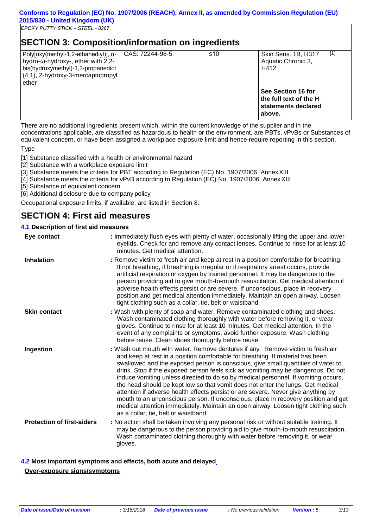#### **Conforms to Regulation (EC) No. 1907/2006 (REACH), Annex II, as amended by Commission Regulation (EU) 2015/830 - United Kingdom (UK)**

*EPOXY PUTTY STICK – STEEL - 8267*

| <b>SECTION 3: Composition/information on ingredients</b>                                                                                                      |                 |     |                                                                                                                                    |       |
|---------------------------------------------------------------------------------------------------------------------------------------------------------------|-----------------|-----|------------------------------------------------------------------------------------------------------------------------------------|-------|
| Poly[oxy(methyl-1,2-ethanediyl)], α-<br>hydro-ω-hydroxy-, ether with 2,2-<br>bis(hydroxymethyl)-1,3-propanediol<br>(4:1), 2-hydroxy-3-mercaptopropyl<br>ether | CAS: 72244-98-5 | ≤10 | Skin Sens. 1B, H317<br>Aquatic Chronic 3,<br>H412<br>See Section 16 for<br>the full text of the H<br>statements declared<br>above. | $[1]$ |

There are no additional ingredients present which, within the current knowledge of the supplier and in the concentrations applicable, are classified as hazardous to health or the environment, are PBTs, vPvBs or Substances of equivalent concern, or have been assigned a workplace exposure limit and hence require reporting in this section.

#### Type

[1] Substance classified with a health or environmental hazard

- [2] Substance with a workplace exposure limit
- [3] Substance meets the criteria for PBT according to Regulation (EC) No. 1907/2006, Annex XIII
- [4] Substance meets the criteria for vPvB according to Regulation (EC) No. 1907/2006, AnnexXIII
- [5] Substance of equivalent concern
- [6] Additional disclosure due to company policy

Occupational exposure limits, if available, are listed in Section 8.

## **SECTION 4: First aid measures**

#### **4.1 Description of first aid measures**

| Eye contact                       | : Immediately flush eyes with plenty of water, occasionally lifting the upper and lower<br>eyelids. Check for and remove any contact lenses. Continue to rinse for at least 10<br>minutes. Get medical attention.                                                                                                                                                                                                                                                                                                                                                                                                                                                                                                                                                                                                            |
|-----------------------------------|------------------------------------------------------------------------------------------------------------------------------------------------------------------------------------------------------------------------------------------------------------------------------------------------------------------------------------------------------------------------------------------------------------------------------------------------------------------------------------------------------------------------------------------------------------------------------------------------------------------------------------------------------------------------------------------------------------------------------------------------------------------------------------------------------------------------------|
| <b>Inhalation</b>                 | : Remove victim to fresh air and keep at rest in a position comfortable for breathing.<br>If not breathing, if breathing is irregular or if respiratory arrest occurs, provide<br>artificial respiration or oxygen by trained personnel. It may be dangerous to the<br>person providing aid to give mouth-to-mouth resuscitation. Get medical attention if<br>adverse health effects persist or are severe. If unconscious, place in recovery<br>position and get medical attention immediately. Maintain an open airway. Loosen<br>tight clothing such as a collar, tie, belt or waistband.                                                                                                                                                                                                                                 |
| <b>Skin contact</b>               | : Wash with plenty of soap and water. Remove contaminated clothing and shoes.<br>Wash contaminated clothing thoroughly with water before removing it, or wear<br>gloves. Continue to rinse for at least 10 minutes. Get medical attention. In the<br>event of any complaints or symptoms, avoid further exposure. Wash clothing<br>before reuse. Clean shoes thoroughly before reuse.                                                                                                                                                                                                                                                                                                                                                                                                                                        |
| Ingestion                         | : Wash out mouth with water. Remove dentures if any. Remove victim to fresh air<br>and keep at rest in a position comfortable for breathing. If material has been<br>swallowed and the exposed person is conscious, give small quantities of water to<br>drink. Stop if the exposed person feels sick as vomiting may be dangerous. Do not<br>induce vomiting unless directed to do so by medical personnel. If vomiting occurs,<br>the head should be kept low so that vomit does not enter the lungs. Get medical<br>attention if adverse health effects persist or are severe. Never give anything by<br>mouth to an unconscious person. If unconscious, place in recovery position and get<br>medical attention immediately. Maintain an open airway. Loosen tight clothing such<br>as a collar, tie, belt or waistband. |
| <b>Protection of first-aiders</b> | : No action shall be taken involving any personal risk or without suitable training. It<br>may be dangerous to the person providing aid to give mouth-to-mouth resuscitation.<br>Wash contaminated clothing thoroughly with water before removing it, or wear<br>gloves.                                                                                                                                                                                                                                                                                                                                                                                                                                                                                                                                                     |

**4.2 Most important symptoms and effects, both acute and delayed Over-exposure signs/symptoms**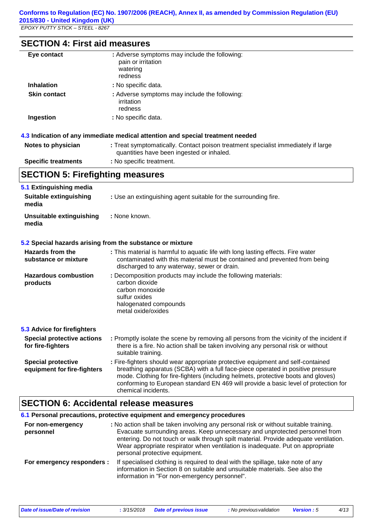## **SECTION 4: First aid measures**

| Eye contact                                              | : Adverse symptoms may include the following:<br>pain or irritation<br>watering<br>redness                                                                                                                                                                                                                                                                            |
|----------------------------------------------------------|-----------------------------------------------------------------------------------------------------------------------------------------------------------------------------------------------------------------------------------------------------------------------------------------------------------------------------------------------------------------------|
| <b>Inhalation</b>                                        | : No specific data.                                                                                                                                                                                                                                                                                                                                                   |
| <b>Skin contact</b>                                      | : Adverse symptoms may include the following:<br>irritation<br>redness                                                                                                                                                                                                                                                                                                |
| Ingestion                                                | : No specific data.                                                                                                                                                                                                                                                                                                                                                   |
|                                                          | 4.3 Indication of any immediate medical attention and special treatment needed                                                                                                                                                                                                                                                                                        |
| Notes to physician                                       | : Treat symptomatically. Contact poison treatment specialist immediately if large<br>quantities have been ingested or inhaled.                                                                                                                                                                                                                                        |
| <b>Specific treatments</b>                               | : No specific treatment.                                                                                                                                                                                                                                                                                                                                              |
| <b>SECTION 5: Firefighting measures</b>                  |                                                                                                                                                                                                                                                                                                                                                                       |
| 5.1 Extinguishing media                                  |                                                                                                                                                                                                                                                                                                                                                                       |
| <b>Suitable extinguishing</b><br>media                   | : Use an extinguishing agent suitable for the surrounding fire.                                                                                                                                                                                                                                                                                                       |
| <b>Unsuitable extinguishing</b><br>media                 | : None known.                                                                                                                                                                                                                                                                                                                                                         |
|                                                          | 5.2 Special hazards arising from the substance or mixture                                                                                                                                                                                                                                                                                                             |
| <b>Hazards from the</b><br>substance or mixture          | : This material is harmful to aquatic life with long lasting effects. Fire water<br>contaminated with this material must be contained and prevented from being<br>discharged to any waterway, sewer or drain.                                                                                                                                                         |
| <b>Hazardous combustion</b><br>products                  | : Decomposition products may include the following materials:<br>carbon dioxide<br>carbon monoxide<br>sulfur oxides<br>halogenated compounds<br>metal oxide/oxides                                                                                                                                                                                                    |
| 5.3 Advice for firefighters                              |                                                                                                                                                                                                                                                                                                                                                                       |
| <b>Special protective actions</b><br>for fire-fighters   | : Promptly isolate the scene by removing all persons from the vicinity of the incident if<br>there is a fire. No action shall be taken involving any personal risk or without<br>suitable training.                                                                                                                                                                   |
| <b>Special protective</b><br>equipment for fire-fighters | : Fire-fighters should wear appropriate protective equipment and self-contained<br>breathing apparatus (SCBA) with a full face-piece operated in positive pressure<br>mode. Clothing for fire-fighters (including helmets, protective boots and gloves)<br>conforming to European standard EN 469 will provide a basic level of protection for<br>chemical incidents. |
|                                                          |                                                                                                                                                                                                                                                                                                                                                                       |

## **SECTION 6: Accidental release measures**

### **6.1 Personal precautions, protective equipment and emergency procedures**

| For non-emergency<br>personnel | : No action shall be taken involving any personal risk or without suitable training.<br>Evacuate surrounding areas. Keep unnecessary and unprotected personnel from<br>entering. Do not touch or walk through spilt material. Provide adequate ventilation.<br>Wear appropriate respirator when ventilation is inadequate. Put on appropriate<br>personal protective equipment. |
|--------------------------------|---------------------------------------------------------------------------------------------------------------------------------------------------------------------------------------------------------------------------------------------------------------------------------------------------------------------------------------------------------------------------------|
| For emergency responders :     | If specialised clothing is required to deal with the spillage, take note of any<br>information in Section 8 on suitable and unsuitable materials. See also the<br>information in "For non-emergency personnel".                                                                                                                                                                 |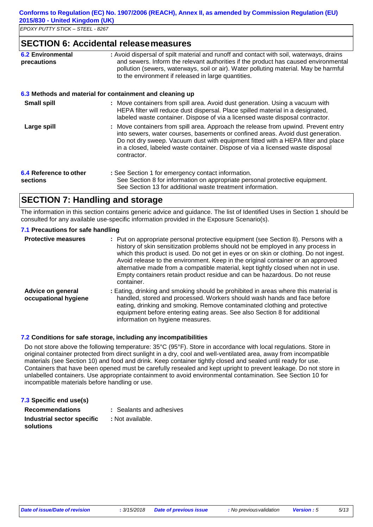#### **SECTION 6: Accidental releasemeasures**

| <b>6.2 Environmental</b><br>precautions | : Avoid dispersal of spilt material and runoff and contact with soil, waterways, drains<br>and sewers. Inform the relevant authorities if the product has caused environmental<br>pollution (sewers, waterways, soil or air). Water polluting material. May be harmful<br>to the environment if released in large quantities.                              |  |
|-----------------------------------------|------------------------------------------------------------------------------------------------------------------------------------------------------------------------------------------------------------------------------------------------------------------------------------------------------------------------------------------------------------|--|
|                                         | 6.3 Methods and material for containment and cleaning up                                                                                                                                                                                                                                                                                                   |  |
| <b>Small spill</b>                      | : Move containers from spill area. Avoid dust generation. Using a vacuum with<br>HEPA filter will reduce dust dispersal. Place spilled material in a designated,<br>labeled waste container. Dispose of via a licensed waste disposal contractor.                                                                                                          |  |
| Large spill                             | : Move containers from spill area. Approach the release from upwind. Prevent entry<br>into sewers, water courses, basements or confined areas. Avoid dust generation.<br>Do not dry sweep. Vacuum dust with equipment fitted with a HEPA filter and place<br>in a closed, labeled waste container. Dispose of via a licensed waste disposal<br>contractor. |  |
| 6.4 Reference to other<br>sections      | : See Section 1 for emergency contact information.<br>See Section 8 for information on appropriate personal protective equipment.<br>See Section 13 for additional waste treatment information.                                                                                                                                                            |  |

## **SECTION 7: Handling and storage**

The information in this section contains generic advice and guidance. The list of Identified Uses in Section 1 should be consulted for any available use-specific information provided in the Exposure Scenario(s).

#### **7.1 Precautions for safe handling**

| <b>Protective measures</b>                       | : Put on appropriate personal protective equipment (see Section 8). Persons with a<br>history of skin sensitization problems should not be employed in any process in<br>which this product is used. Do not get in eyes or on skin or clothing. Do not ingest.<br>Avoid release to the environment. Keep in the original container or an approved<br>alternative made from a compatible material, kept tightly closed when not in use.<br>Empty containers retain product residue and can be hazardous. Do not reuse<br>container. |
|--------------------------------------------------|------------------------------------------------------------------------------------------------------------------------------------------------------------------------------------------------------------------------------------------------------------------------------------------------------------------------------------------------------------------------------------------------------------------------------------------------------------------------------------------------------------------------------------|
| <b>Advice on general</b><br>occupational hygiene | : Eating, drinking and smoking should be prohibited in areas where this material is<br>handled, stored and processed. Workers should wash hands and face before<br>eating, drinking and smoking. Remove contaminated clothing and protective<br>equipment before entering eating areas. See also Section 8 for additional<br>information on hygiene measures.                                                                                                                                                                      |

#### **7.2 Conditions for safe storage, including any incompatibilities**

Do not store above the following temperature: 35°C (95°F). Store in accordance with local regulations. Store in original container protected from direct sunlight in a dry, cool and well-ventilated area, away from incompatible materials (see Section 10) and food and drink. Keep container tightly closed and sealed until ready for use. Containers that have been opened must be carefully resealed and kept upright to prevent leakage. Do not store in unlabelled containers. Use appropriate containment to avoid environmental contamination. See Section 10 for incompatible materials before handling or use.

| 7.3 Specific end use(s)                         |                          |
|-------------------------------------------------|--------------------------|
| <b>Recommendations</b>                          | : Sealants and adhesives |
| the characteristic contract was a stated of the |                          |

| Industrial sector specific | : Not available. |
|----------------------------|------------------|
| solutions                  |                  |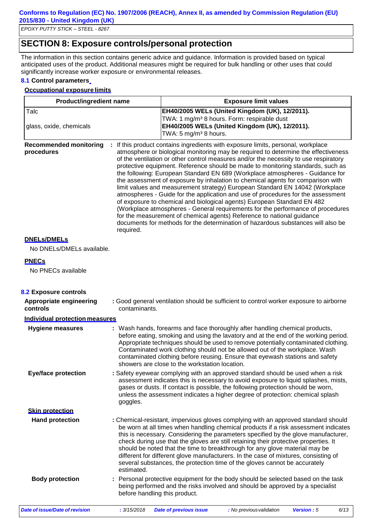## **SECTION 8: Exposure controls/personal protection**

The information in this section contains generic advice and guidance. Information is provided based on typical anticipated uses of the product. Additional measures might be required for bulk handling or other uses that could significantly increase worker exposure or environmental releases.

#### **8.1 Control parameters**

#### **Occupational exposure limits**

| <b>Product/ingredient name</b>                    | <b>Exposure limit values</b>                                                                                                                                                                                                                                                                                                                                                                                                                                                                                                                                                                                                                                                                                                                                                                                                                                                                                                                                                                                                     |
|---------------------------------------------------|----------------------------------------------------------------------------------------------------------------------------------------------------------------------------------------------------------------------------------------------------------------------------------------------------------------------------------------------------------------------------------------------------------------------------------------------------------------------------------------------------------------------------------------------------------------------------------------------------------------------------------------------------------------------------------------------------------------------------------------------------------------------------------------------------------------------------------------------------------------------------------------------------------------------------------------------------------------------------------------------------------------------------------|
| Talc<br>glass, oxide, chemicals                   | EH40/2005 WELs (United Kingdom (UK), 12/2011).<br>TWA: 1 mg/m <sup>3</sup> 8 hours. Form: respirable dust<br>EH40/2005 WELs (United Kingdom (UK), 12/2011).<br>TWA: 5 mg/m <sup>3</sup> 8 hours.                                                                                                                                                                                                                                                                                                                                                                                                                                                                                                                                                                                                                                                                                                                                                                                                                                 |
| <b>Recommended monitoring</b><br>÷.<br>procedures | If this product contains ingredients with exposure limits, personal, workplace<br>atmosphere or biological monitoring may be required to determine the effectiveness<br>of the ventilation or other control measures and/or the necessity to use respiratory<br>protective equipment. Reference should be made to monitoring standards, such as<br>the following: European Standard EN 689 (Workplace atmospheres - Guidance for<br>the assessment of exposure by inhalation to chemical agents for comparison with<br>limit values and measurement strategy) European Standard EN 14042 (Workplace<br>atmospheres - Guide for the application and use of procedures for the assessment<br>of exposure to chemical and biological agents) European Standard EN 482<br>(Workplace atmospheres - General requirements for the performance of procedures<br>for the measurement of chemical agents) Reference to national guidance<br>documents for methods for the determination of hazardous substances will also be<br>required. |

#### **DNELs/DMELs**

No DNELs/DMELs available.

#### **PNECs**

No PNECs available

| 8.2 Exposure controls               |                                                                                                                                                                                                                                                                                                                                                                                                                                                                                                                                                                                                                           |  |  |
|-------------------------------------|---------------------------------------------------------------------------------------------------------------------------------------------------------------------------------------------------------------------------------------------------------------------------------------------------------------------------------------------------------------------------------------------------------------------------------------------------------------------------------------------------------------------------------------------------------------------------------------------------------------------------|--|--|
| Appropriate engineering<br>controls | : Good general ventilation should be sufficient to control worker exposure to airborne<br>contaminants.                                                                                                                                                                                                                                                                                                                                                                                                                                                                                                                   |  |  |
| Individual protection measures      |                                                                                                                                                                                                                                                                                                                                                                                                                                                                                                                                                                                                                           |  |  |
| <b>Hygiene measures</b>             | : Wash hands, forearms and face thoroughly after handling chemical products,<br>before eating, smoking and using the lavatory and at the end of the working period.<br>Appropriate techniques should be used to remove potentially contaminated clothing.<br>Contaminated work clothing should not be allowed out of the workplace. Wash<br>contaminated clothing before reusing. Ensure that eyewash stations and safety<br>showers are close to the workstation location.                                                                                                                                               |  |  |
| <b>Eye/face protection</b>          | : Safety eyewear complying with an approved standard should be used when a risk<br>assessment indicates this is necessary to avoid exposure to liquid splashes, mists,<br>gases or dusts. If contact is possible, the following protection should be worn,<br>unless the assessment indicates a higher degree of protection: chemical splash<br>goggles.                                                                                                                                                                                                                                                                  |  |  |
| <b>Skin protection</b>              |                                                                                                                                                                                                                                                                                                                                                                                                                                                                                                                                                                                                                           |  |  |
| <b>Hand protection</b>              | : Chemical-resistant, impervious gloves complying with an approved standard should<br>be worn at all times when handling chemical products if a risk assessment indicates<br>this is necessary. Considering the parameters specified by the glove manufacturer,<br>check during use that the gloves are still retaining their protective properties. It<br>should be noted that the time to breakthrough for any glove material may be<br>different for different glove manufacturers. In the case of mixtures, consisting of<br>several substances, the protection time of the gloves cannot be accurately<br>estimated. |  |  |
| <b>Body protection</b>              | Personal protective equipment for the body should be selected based on the task<br>being performed and the risks involved and should be approved by a specialist<br>before handling this product.                                                                                                                                                                                                                                                                                                                                                                                                                         |  |  |
| Date of issue/Date of revision      | : 3/15/2018<br><b>Date of previous issue</b><br>: No previous validation<br>Version: 5<br>6/13                                                                                                                                                                                                                                                                                                                                                                                                                                                                                                                            |  |  |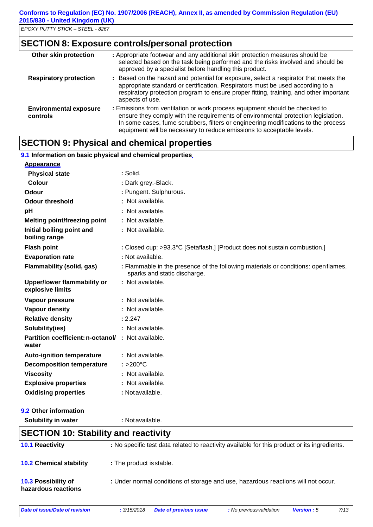### **SECTION 8: Exposure controls/personal protection**

| Other skin protection                     | : Appropriate footwear and any additional skin protection measures should be<br>selected based on the task being performed and the risks involved and should be<br>approved by a specialist before handling this product.                                                                                                       |
|-------------------------------------------|---------------------------------------------------------------------------------------------------------------------------------------------------------------------------------------------------------------------------------------------------------------------------------------------------------------------------------|
| <b>Respiratory protection</b>             | : Based on the hazard and potential for exposure, select a respirator that meets the<br>appropriate standard or certification. Respirators must be used according to a<br>respiratory protection program to ensure proper fitting, training, and other important<br>aspects of use.                                             |
| <b>Environmental exposure</b><br>controls | : Emissions from ventilation or work process equipment should be checked to<br>ensure they comply with the requirements of environmental protection legislation.<br>In some cases, fume scrubbers, filters or engineering modifications to the process<br>equipment will be necessary to reduce emissions to acceptable levels. |

## **SECTION 9: Physical and chemical properties**

#### **9.1 Information on basic physical and chemical properties**

| <b>Appearance</b>                                           |                                                                                                                    |
|-------------------------------------------------------------|--------------------------------------------------------------------------------------------------------------------|
| <b>Physical state</b>                                       | : Solid.                                                                                                           |
| Colour                                                      | : Dark grey.-Black.                                                                                                |
| Odour                                                       | : Pungent. Sulphurous.                                                                                             |
| <b>Odour threshold</b>                                      | : Not available.                                                                                                   |
| pH                                                          | : Not available.                                                                                                   |
| <b>Melting point/freezing point</b>                         | : Not available.                                                                                                   |
| Initial boiling point and<br>boiling range                  | : Not available.                                                                                                   |
| <b>Flash point</b>                                          | : Closed cup: >93.3°C [Setaflash.] [Product does not sustain combustion.]                                          |
| <b>Evaporation rate</b>                                     | : Not available.                                                                                                   |
| Flammability (solid, gas)                                   | : Flammable in the presence of the following materials or conditions: open flames,<br>sparks and static discharge. |
| Upper/lower flammability or<br>explosive limits             | : Not available.                                                                                                   |
| Vapour pressure                                             | : Not available.                                                                                                   |
| Vapour density                                              | : Not available.                                                                                                   |
| <b>Relative density</b>                                     | : 2.247                                                                                                            |
| Solubility(ies)                                             | : Not available.                                                                                                   |
| Partition coefficient: n-octanol/ : Not available.<br>water |                                                                                                                    |
| <b>Auto-ignition temperature</b>                            | : Not available.                                                                                                   |
| <b>Decomposition temperature</b>                            | $: >200^{\circ}$ C                                                                                                 |
| <b>Viscosity</b>                                            | : Not available.                                                                                                   |
| <b>Explosive properties</b>                                 | : Not available.                                                                                                   |
| <b>Oxidising properties</b>                                 | : Not available.                                                                                                   |
|                                                             |                                                                                                                    |

#### **9.2 Other information**

**Solubility in water :** Notavailable.

## **SECTION 10: Stability and reactivity**

| <b>10.1 Reactivity</b>                     | : No specific test data related to reactivity available for this product or its ingredients. |
|--------------------------------------------|----------------------------------------------------------------------------------------------|
| <b>10.2 Chemical stability</b>             | : The product is stable.                                                                     |
| 10.3 Possibility of<br>hazardous reactions | : Under normal conditions of storage and use, hazardous reactions will not occur.            |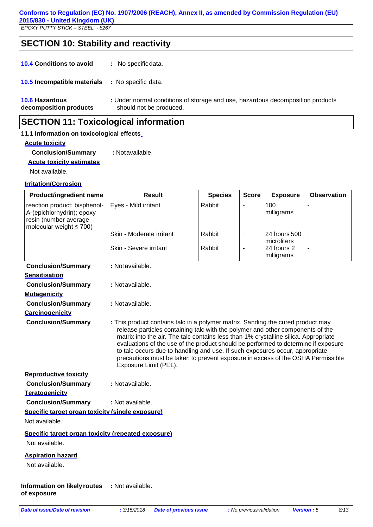## **SECTION 10: Stability and reactivity**

**10.4 Conditions to avoid :** No specificdata.

**10.5 Incompatible materials :** No specific data.

**10.6 Hazardous decomposition products :** Under normal conditions of storage and use, hazardous decomposition products should not be produced.

### **SECTION 11: Toxicological information**

#### **11.1 Information on toxicological effects**

#### **Acute toxicity**

**Conclusion/Summary :** Notavailable.

**Acute toxicity estimates**

Not available.

#### **Irritation/Corrosion**

| <b>Product/ingredient name</b>                                                                                      | <b>Result</b>                                                                                                                                                                                                                                                                                                                                                                                                                                                                                                                              | <b>Species</b> | <b>Score</b>   | <b>Exposure</b>                         | <b>Observation</b> |
|---------------------------------------------------------------------------------------------------------------------|--------------------------------------------------------------------------------------------------------------------------------------------------------------------------------------------------------------------------------------------------------------------------------------------------------------------------------------------------------------------------------------------------------------------------------------------------------------------------------------------------------------------------------------------|----------------|----------------|-----------------------------------------|--------------------|
| reaction product: bisphenol-<br>A-(epichlorhydrin); epoxy<br>resin (number average<br>molecular weight $\leq 700$ ) | Eyes - Mild irritant                                                                                                                                                                                                                                                                                                                                                                                                                                                                                                                       | Rabbit         |                | 100<br>milligrams                       |                    |
|                                                                                                                     | Skin - Moderate irritant                                                                                                                                                                                                                                                                                                                                                                                                                                                                                                                   | Rabbit         | ÷              | 24 hours 500                            | $\blacksquare$     |
|                                                                                                                     | Skin - Severe irritant                                                                                                                                                                                                                                                                                                                                                                                                                                                                                                                     | Rabbit         | $\blacksquare$ | microliters<br>24 hours 2<br>milligrams |                    |
| <b>Conclusion/Summary</b>                                                                                           | : Not available.                                                                                                                                                                                                                                                                                                                                                                                                                                                                                                                           |                |                |                                         |                    |
| <b>Sensitisation</b>                                                                                                |                                                                                                                                                                                                                                                                                                                                                                                                                                                                                                                                            |                |                |                                         |                    |
| <b>Conclusion/Summary</b>                                                                                           | : Not available.                                                                                                                                                                                                                                                                                                                                                                                                                                                                                                                           |                |                |                                         |                    |
| <b>Mutagenicity</b>                                                                                                 |                                                                                                                                                                                                                                                                                                                                                                                                                                                                                                                                            |                |                |                                         |                    |
| <b>Conclusion/Summary</b>                                                                                           | : Not available.                                                                                                                                                                                                                                                                                                                                                                                                                                                                                                                           |                |                |                                         |                    |
| Carcinogenicity                                                                                                     |                                                                                                                                                                                                                                                                                                                                                                                                                                                                                                                                            |                |                |                                         |                    |
| <b>Conclusion/Summary</b>                                                                                           | : This product contains talc in a polymer matrix. Sanding the cured product may<br>release particles containing talc with the polymer and other components of the<br>matrix into the air. The talc contains less than 1% crystalline silica. Appropriate<br>evaluations of the use of the product should be performed to determine if exposure<br>to talc occurs due to handling and use. If such exposures occur, appropriate<br>precautions must be taken to prevent exposure in excess of the OSHA Permissible<br>Exposure Limit (PEL). |                |                |                                         |                    |
| <b>Reproductive toxicity</b>                                                                                        |                                                                                                                                                                                                                                                                                                                                                                                                                                                                                                                                            |                |                |                                         |                    |
| <b>Conclusion/Summary</b>                                                                                           | : Not available.                                                                                                                                                                                                                                                                                                                                                                                                                                                                                                                           |                |                |                                         |                    |
| Teratogenicity                                                                                                      |                                                                                                                                                                                                                                                                                                                                                                                                                                                                                                                                            |                |                |                                         |                    |
| <b>Conclusion/Summary</b>                                                                                           | : Not available.                                                                                                                                                                                                                                                                                                                                                                                                                                                                                                                           |                |                |                                         |                    |
| Specific target organ toxicity (single exposure)                                                                    |                                                                                                                                                                                                                                                                                                                                                                                                                                                                                                                                            |                |                |                                         |                    |
| Not available.                                                                                                      |                                                                                                                                                                                                                                                                                                                                                                                                                                                                                                                                            |                |                |                                         |                    |
| Specific target organ toxicity (repeated exposure)<br>Not available.                                                |                                                                                                                                                                                                                                                                                                                                                                                                                                                                                                                                            |                |                |                                         |                    |
| <b>Aspiration hazard</b><br>Not available.                                                                          |                                                                                                                                                                                                                                                                                                                                                                                                                                                                                                                                            |                |                |                                         |                    |
| <b>Information on likely routes</b><br>of exposure                                                                  | : Not available.                                                                                                                                                                                                                                                                                                                                                                                                                                                                                                                           |                |                |                                         |                    |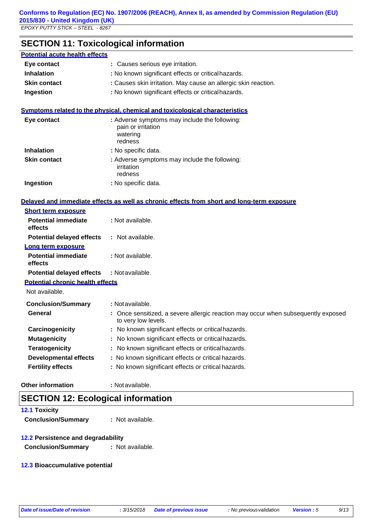**SECTION 11: Toxicological information**

| <b>Potential acute health effects</b>                     |                                                                                                          |  |
|-----------------------------------------------------------|----------------------------------------------------------------------------------------------------------|--|
| Eye contact                                               | : Causes serious eye irritation.                                                                         |  |
| <b>Inhalation</b>                                         | : No known significant effects or critical hazards.                                                      |  |
| <b>Skin contact</b>                                       | : Causes skin irritation. May cause an allergic skin reaction.                                           |  |
| Ingestion                                                 | : No known significant effects or critical hazards.                                                      |  |
|                                                           | Symptoms related to the physical, chemical and toxicological characteristics                             |  |
| Eye contact                                               | : Adverse symptoms may include the following:<br>pain or irritation<br>watering<br>redness               |  |
| <b>Inhalation</b>                                         | : No specific data.                                                                                      |  |
| <b>Skin contact</b>                                       | : Adverse symptoms may include the following:<br>irritation<br>redness                                   |  |
| Ingestion                                                 | : No specific data.                                                                                      |  |
|                                                           | Delaved and immediate effects as well as chronic effects from short and long-term exposure               |  |
| <b>Short term exposure</b>                                |                                                                                                          |  |
| <b>Potential immediate</b><br>effects                     | : Not available.                                                                                         |  |
| <b>Potential delayed effects</b>                          | : Not available.                                                                                         |  |
| Long term exposure                                        |                                                                                                          |  |
| <b>Potential immediate</b><br>effects                     | : Not available.                                                                                         |  |
| <b>Potential delayed effects</b>                          | : Not available.                                                                                         |  |
| <b>Potential chronic health effects</b><br>Not available. |                                                                                                          |  |
| <b>Conclusion/Summary</b>                                 | : Not available.                                                                                         |  |
| <b>General</b>                                            | : Once sensitized, a severe allergic reaction may occur when subsequently exposed<br>to very low levels. |  |
| Carcinogenicity                                           | No known significant effects or critical hazards.                                                        |  |
| <b>Mutagenicity</b>                                       | No known significant effects or critical hazards.                                                        |  |
| <b>Teratogenicity</b>                                     | : No known significant effects or critical hazards.                                                      |  |
| <b>Developmental effects</b>                              | : No known significant effects or critical hazards.                                                      |  |
| <b>Fertility effects</b>                                  | : No known significant effects or critical hazards.                                                      |  |
| <b>Other information</b>                                  | : Not available.                                                                                         |  |

## **SECTION 12: Ecological information**

**12.1 Toxicity Conclusion/Summary :** Not available.

#### **12.2 Persistence and degradability**

**Conclusion/Summary :** Not available.

#### **12.3 Bioaccumulative potential**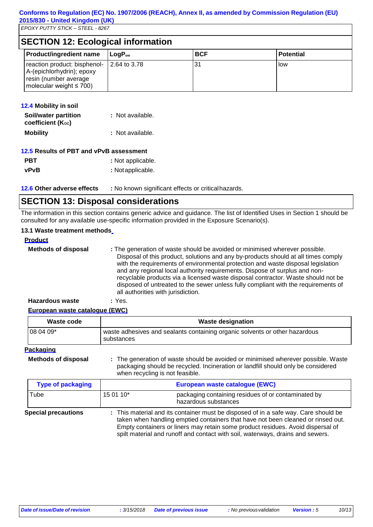|  | <b>SECTION 12: Ecological information</b> |  |
|--|-------------------------------------------|--|
|--|-------------------------------------------|--|

|  | <b>Product/ingredient name</b>                                                                                      | $\mathsf{LogP}_\mathsf{ow}$ | <b>BCF</b> | <b>Potential</b> |
|--|---------------------------------------------------------------------------------------------------------------------|-----------------------------|------------|------------------|
|  | reaction product: bisphenol-<br>A-(epichlorhydrin); epoxy<br>resin (number average<br>molecular weight $\leq 700$ ) | 2.64 to 3.78                | 31         | <b>IOW</b>       |

| <b>12.4 Mobility in soil</b>               |                  |
|--------------------------------------------|------------------|
| Soil/water partition<br>coefficient (Koc)  | : Not available. |
| <b>Mobility</b>                            | : Not available. |
| $10E$ Beaulta of DDT and $vDvD$ concompant |                  |

|             | 12.5 Results of PBT and vPvB assessment |
|-------------|-----------------------------------------|
| <b>PBT</b>  | : Not applicable.                       |
| <b>vPvB</b> | : Not applicable.                       |

**12.6 Other adverse effects :** No known significant effects or criticalhazards.

## **SECTION 13: Disposal considerations**

The information in this section contains generic advice and guidance. The list of Identified Uses in Section 1 should be consulted for any available use-specific information provided in the Exposure Scenario(s).

#### **13.1 Waste treatment methods**

| <b>Product</b>             |                                                                                                                                                                                                                                                                                                                                                                                                                                                                                                                                                      |
|----------------------------|------------------------------------------------------------------------------------------------------------------------------------------------------------------------------------------------------------------------------------------------------------------------------------------------------------------------------------------------------------------------------------------------------------------------------------------------------------------------------------------------------------------------------------------------------|
| <b>Methods of disposal</b> | : The generation of waste should be avoided or minimised wherever possible.<br>Disposal of this product, solutions and any by-products should at all times comply<br>with the requirements of environmental protection and waste disposal legislation<br>and any regional local authority requirements. Dispose of surplus and non-<br>recyclable products via a licensed waste disposal contractor. Waste should not be<br>disposed of untreated to the sewer unless fully compliant with the requirements of<br>all authorities with jurisdiction. |
| <b>Hazardous waste</b>     | : Yes.                                                                                                                                                                                                                                                                                                                                                                                                                                                                                                                                               |

#### **European waste catalogue (EWC)**

| Waste code                 | <b>Waste designation</b>                                                                  |
|----------------------------|-------------------------------------------------------------------------------------------|
| $1080409*$                 | waste adhesives and sealants containing organic solvents or other hazardous<br>substances |
| Packaging                  |                                                                                           |
| <b>Methods of disposal</b> | : The generation of waste should be avoided or minimised wherever possible. Waste         |

packaging should be recycled. Incineration or landfill should only be considered when recycling is not feasible.

| <b>Type of packaging</b>   | European waste catalogue (EWC)                                                                                                                                                                                                                                                                                                               |                                                                             |
|----------------------------|----------------------------------------------------------------------------------------------------------------------------------------------------------------------------------------------------------------------------------------------------------------------------------------------------------------------------------------------|-----------------------------------------------------------------------------|
| Tube                       | 15 01 10*                                                                                                                                                                                                                                                                                                                                    | packaging containing residues of or contaminated by<br>hazardous substances |
| <b>Special precautions</b> | : This material and its container must be disposed of in a safe way. Care should be<br>taken when handling emptied containers that have not been cleaned or rinsed out.<br>Empty containers or liners may retain some product residues. Avoid dispersal of<br>spilt material and runoff and contact with soil, waterways, drains and sewers. |                                                                             |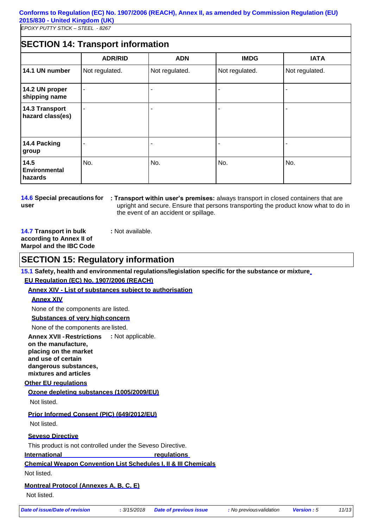#### **Conforms to Regulation (EC) No. 1907/2006 (REACH), Annex II, as amended by Commission Regulation (EU) 2015/830 - United Kingdom (UK)**

*EPOXY PUTTY STICK – STEEL - 8267*

## **SECTION 14: Transport information**

|                                    | <b>ADR/RID</b> | <b>ADN</b>     | <b>IMDG</b>    | <b>IATA</b>    |
|------------------------------------|----------------|----------------|----------------|----------------|
| 14.1 UN number                     | Not regulated. | Not regulated. | Not regulated. | Not regulated. |
| 14.2 UN proper<br>shipping name    | ۰              |                |                |                |
| 14.3 Transport<br>hazard class(es) |                |                |                |                |
| 14.4 Packing<br>group              |                |                |                |                |
| 14.5<br>Environmental<br>hazards   | No.            | No.            | No.            | No.            |

**14.6 Special precautions for user**

**: Transport within user's premises:** always transport in closed containers that are upright and secure. Ensure that persons transporting the product know what to do in the event of an accident or spillage.

**14.7 Transport in bulk according to Annex II of Marpol and the IBC Code** **:** Not available.

**:** Not applicable.

**SECTION 15: Regulatory information**

**15.1 Safety, health and environmental regulations/legislation specific for the substance or mixture EU Regulation (EC) No. 1907/2006 (REACH)**

**Annex XIV - List of substances subject to authorisation**

#### **Annex XIV**

None of the components are listed.

#### **Substances of very high concern**

None of the components are listed.

**Annex XVII -Restrictions on the manufacture, placing on the market and use of certain dangerous substances, mixtures and articles**

#### **Other EU regulations**

#### **Ozone depleting substances (1005/2009/EU)**

Not listed.

#### **Prior Informed Consent (PIC) (649/2012/EU)**

Not listed.

#### **Seveso Directive**

This product is not controlled under the Seveso Directive.

#### **International regulations**

**Chemical Weapon Convention List Schedules I, II & III Chemicals**

Not listed.

#### **Montreal Protocol (Annexes A, B, C, E)**

Not listed.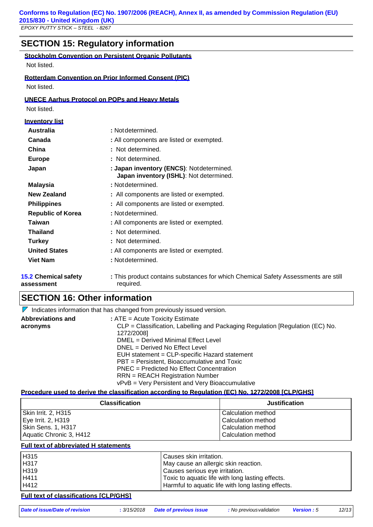## **SECTION 15: Regulatory information**

#### **Stockholm Convention on Persistent Organic Pollutants**

Not listed.

#### **Rotterdam Convention on Prior Informed Consent (PIC)**

Not listed.

#### **UNECE Aarhus Protocol on POPs and Heavy Metals**

Not listed.

| <u>Inventory list</u>                     |                                                                                                 |  |
|-------------------------------------------|-------------------------------------------------------------------------------------------------|--|
| <b>Australia</b>                          | : Not determined.                                                                               |  |
| Canada                                    | : All components are listed or exempted.                                                        |  |
| China                                     | : Not determined.                                                                               |  |
| <b>Europe</b>                             | : Not determined.                                                                               |  |
| Japan                                     | : Japan inventory (ENCS): Notdetermined.<br>Japan inventory (ISHL): Not determined.             |  |
| <b>Malaysia</b>                           | : Not determined.                                                                               |  |
| <b>New Zealand</b>                        | : All components are listed or exempted.                                                        |  |
| <b>Philippines</b>                        | : All components are listed or exempted.                                                        |  |
| <b>Republic of Korea</b>                  | : Not determined.                                                                               |  |
| Taiwan                                    | : All components are listed or exempted.                                                        |  |
| <b>Thailand</b>                           | : Not determined.                                                                               |  |
| <b>Turkey</b>                             | : Not determined.                                                                               |  |
| <b>United States</b>                      | : All components are listed or exempted.                                                        |  |
| <b>Viet Nam</b>                           | : Not determined.                                                                               |  |
| <b>15.2 Chemical safety</b><br>assessment | : This product contains substances for which Chemical Safety Assessments are still<br>required. |  |

### **SECTION 16: Other information**

 $\nabla$  Indicates information that has changed from previously issued version.

| <b>Abbreviations and</b> | $:ATE = Acute Toxicity Estimate$                                              |
|--------------------------|-------------------------------------------------------------------------------|
| acronyms                 | CLP = Classification, Labelling and Packaging Regulation [Regulation (EC) No. |
|                          | 1272/2008]                                                                    |
|                          | DMEL = Derived Minimal Effect Level                                           |
|                          | $DNEL = Derived No Effect Level$                                              |
|                          | EUH statement = CLP-specific Hazard statement                                 |
|                          | PBT = Persistent, Bioaccumulative and Toxic                                   |
|                          | PNEC = Predicted No Effect Concentration                                      |
|                          | <b>RRN</b> = REACH Registration Number                                        |
|                          | vPvB = Very Persistent and Very Bioaccumulative                               |

#### **Procedure used to derive the classification according to Regulation (EC) No. 1272/2008 [CLP/GHS]**

| <b>Classification</b>   | <b>Justification</b> |
|-------------------------|----------------------|
| Skin Irrit. 2, H315     | Calculation method   |
| Eye Irrit. 2, H319      | Calculation method   |
| Skin Sens. 1, H317      | Calculation method   |
| Aquatic Chronic 3, H412 | Calculation method   |

#### **Full text of abbreviated H statements**

| H315 | Causes skin irritation.                            |
|------|----------------------------------------------------|
| H317 | May cause an allergic skin reaction.               |
| H319 | Causes serious eye irritation.                     |
| H411 | Toxic to aquatic life with long lasting effects.   |
| H412 | Harmful to aquatic life with long lasting effects. |

#### **Full text of classifications [CLP/GHS]**